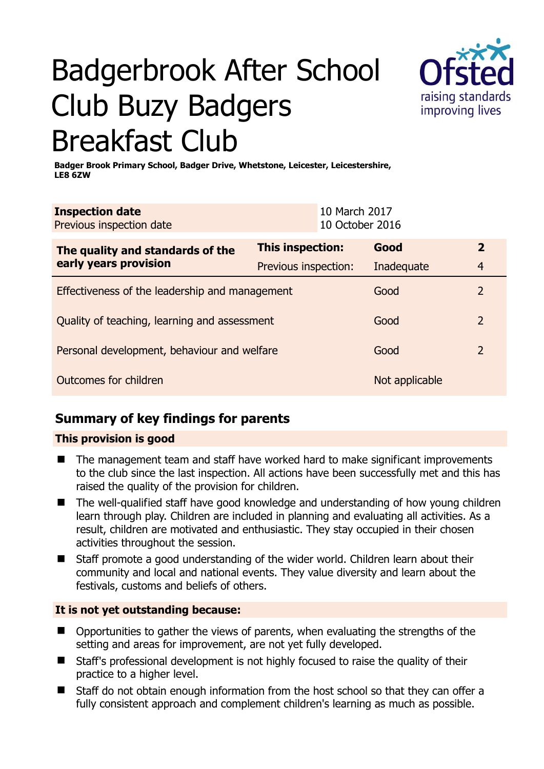# Badgerbrook After School Club Buzy Badgers Breakfast Club



**Badger Brook Primary School, Badger Drive, Whetstone, Leicester, Leicestershire, LE8 6ZW** 

| <b>Inspection date</b><br>Previous inspection date        |                      | 10 March 2017<br>10 October 2016 |                |                |
|-----------------------------------------------------------|----------------------|----------------------------------|----------------|----------------|
| The quality and standards of the<br>early years provision | This inspection:     |                                  | Good           | $\mathbf{2}$   |
|                                                           | Previous inspection: |                                  | Inadequate     | $\overline{4}$ |
| Effectiveness of the leadership and management            |                      |                                  | Good           | $\overline{2}$ |
| Quality of teaching, learning and assessment              |                      |                                  | Good           | 2              |
| Personal development, behaviour and welfare               |                      |                                  | Good           | $\overline{2}$ |
| Outcomes for children                                     |                      |                                  | Not applicable |                |

# **Summary of key findings for parents**

## **This provision is good**

- The management team and staff have worked hard to make significant improvements to the club since the last inspection. All actions have been successfully met and this has raised the quality of the provision for children.
- The well-qualified staff have good knowledge and understanding of how young children learn through play. Children are included in planning and evaluating all activities. As a result, children are motivated and enthusiastic. They stay occupied in their chosen activities throughout the session.
- Staff promote a good understanding of the wider world. Children learn about their community and local and national events. They value diversity and learn about the festivals, customs and beliefs of others.

## **It is not yet outstanding because:**

- Opportunities to gather the views of parents, when evaluating the strengths of the setting and areas for improvement, are not yet fully developed.
- Staff's professional development is not highly focused to raise the quality of their practice to a higher level.
- Staff do not obtain enough information from the host school so that they can offer a fully consistent approach and complement children's learning as much as possible.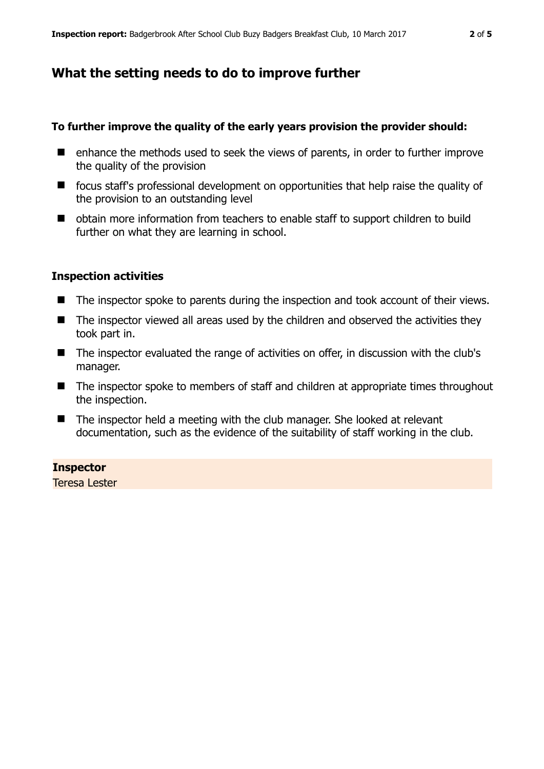# **What the setting needs to do to improve further**

#### **To further improve the quality of the early years provision the provider should:**

- enhance the methods used to seek the views of parents, in order to further improve the quality of the provision
- focus staff's professional development on opportunities that help raise the quality of the provision to an outstanding level
- obtain more information from teachers to enable staff to support children to build further on what they are learning in school.

### **Inspection activities**

- The inspector spoke to parents during the inspection and took account of their views.
- The inspector viewed all areas used by the children and observed the activities they took part in.
- The inspector evaluated the range of activities on offer, in discussion with the club's manager.
- The inspector spoke to members of staff and children at appropriate times throughout the inspection.
- The inspector held a meeting with the club manager. She looked at relevant documentation, such as the evidence of the suitability of staff working in the club.

#### **Inspector**

Teresa Lester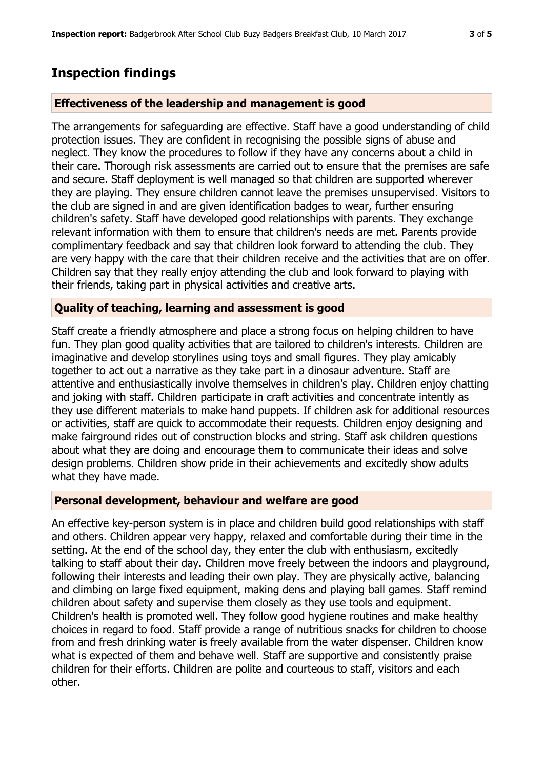## **Inspection findings**

#### **Effectiveness of the leadership and management is good**

The arrangements for safeguarding are effective. Staff have a good understanding of child protection issues. They are confident in recognising the possible signs of abuse and neglect. They know the procedures to follow if they have any concerns about a child in their care. Thorough risk assessments are carried out to ensure that the premises are safe and secure. Staff deployment is well managed so that children are supported wherever they are playing. They ensure children cannot leave the premises unsupervised. Visitors to the club are signed in and are given identification badges to wear, further ensuring children's safety. Staff have developed good relationships with parents. They exchange relevant information with them to ensure that children's needs are met. Parents provide complimentary feedback and say that children look forward to attending the club. They are very happy with the care that their children receive and the activities that are on offer. Children say that they really enjoy attending the club and look forward to playing with their friends, taking part in physical activities and creative arts.

#### **Quality of teaching, learning and assessment is good**

Staff create a friendly atmosphere and place a strong focus on helping children to have fun. They plan good quality activities that are tailored to children's interests. Children are imaginative and develop storylines using toys and small figures. They play amicably together to act out a narrative as they take part in a dinosaur adventure. Staff are attentive and enthusiastically involve themselves in children's play. Children enjoy chatting and joking with staff. Children participate in craft activities and concentrate intently as they use different materials to make hand puppets. If children ask for additional resources or activities, staff are quick to accommodate their requests. Children enjoy designing and make fairground rides out of construction blocks and string. Staff ask children questions about what they are doing and encourage them to communicate their ideas and solve design problems. Children show pride in their achievements and excitedly show adults what they have made.

#### **Personal development, behaviour and welfare are good**

An effective key-person system is in place and children build good relationships with staff and others. Children appear very happy, relaxed and comfortable during their time in the setting. At the end of the school day, they enter the club with enthusiasm, excitedly talking to staff about their day. Children move freely between the indoors and playground, following their interests and leading their own play. They are physically active, balancing and climbing on large fixed equipment, making dens and playing ball games. Staff remind children about safety and supervise them closely as they use tools and equipment. Children's health is promoted well. They follow good hygiene routines and make healthy choices in regard to food. Staff provide a range of nutritious snacks for children to choose from and fresh drinking water is freely available from the water dispenser. Children know what is expected of them and behave well. Staff are supportive and consistently praise children for their efforts. Children are polite and courteous to staff, visitors and each other.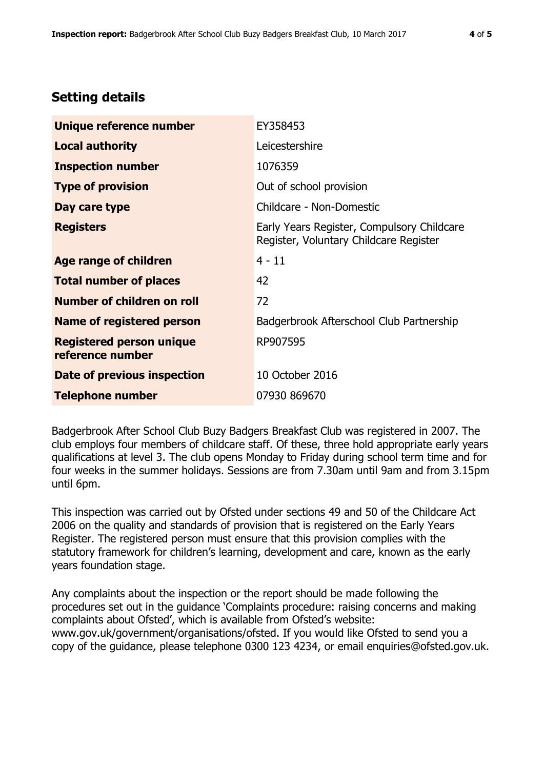# **Setting details**

| Unique reference number                             | EY358453                                                                             |  |
|-----------------------------------------------------|--------------------------------------------------------------------------------------|--|
| <b>Local authority</b>                              | Leicestershire                                                                       |  |
| <b>Inspection number</b>                            | 1076359                                                                              |  |
| <b>Type of provision</b>                            | Out of school provision                                                              |  |
| Day care type                                       | Childcare - Non-Domestic                                                             |  |
| <b>Registers</b>                                    | Early Years Register, Compulsory Childcare<br>Register, Voluntary Childcare Register |  |
| Age range of children                               | $4 - 11$                                                                             |  |
| <b>Total number of places</b>                       | 42                                                                                   |  |
| Number of children on roll                          | 72                                                                                   |  |
| Name of registered person                           | Badgerbrook Afterschool Club Partnership                                             |  |
| <b>Registered person unique</b><br>reference number | RP907595                                                                             |  |
| <b>Date of previous inspection</b>                  | 10 October 2016                                                                      |  |
| <b>Telephone number</b>                             | 07930 869670                                                                         |  |

Badgerbrook After School Club Buzy Badgers Breakfast Club was registered in 2007. The club employs four members of childcare staff. Of these, three hold appropriate early years qualifications at level 3. The club opens Monday to Friday during school term time and for four weeks in the summer holidays. Sessions are from 7.30am until 9am and from 3.15pm until 6pm.

This inspection was carried out by Ofsted under sections 49 and 50 of the Childcare Act 2006 on the quality and standards of provision that is registered on the Early Years Register. The registered person must ensure that this provision complies with the statutory framework for children's learning, development and care, known as the early years foundation stage.

Any complaints about the inspection or the report should be made following the procedures set out in the guidance 'Complaints procedure: raising concerns and making complaints about Ofsted', which is available from Ofsted's website: www.gov.uk/government/organisations/ofsted. If you would like Ofsted to send you a copy of the guidance, please telephone 0300 123 4234, or email enquiries@ofsted.gov.uk.